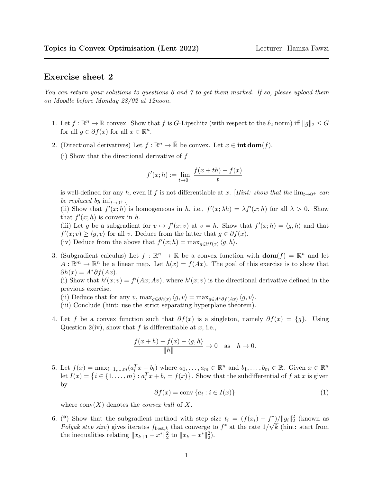## Exercise sheet 2

You can return your solutions to questions 6 and 7 to get them marked. If so, please upload them on Moodle before Monday 28/02 at 12noon.

- 1. Let  $f : \mathbb{R}^n \to \mathbb{R}$  convex. Show that f is G-Lipschitz (with respect to the  $\ell_2$  norm) iff  $||g||_2 \leq G$ for all  $g \in \partial f(x)$  for all  $x \in \mathbb{R}^n$ .
- 2. (Directional derivatives) Let  $f : \mathbb{R}^n \to \bar{\mathbb{R}}$  be convex. Let  $x \in \text{int dom}(f)$ .
	- (i) Show that the directional derivative of f

$$
f'(x; h) := \lim_{t \to 0^+} \frac{f(x + th) - f(x)}{t}
$$

is well-defined for any h, even if f is not differentiable at x. [Hint: show that the  $\lim_{t\to 0^+}$  can be replaced by  $\inf_{t\to 0^+}$ .

(ii) Show that  $f'(x; h)$  is homogeneous in h, i.e.,  $f'(x; \lambda h) = \lambda f'(x; h)$  for all  $\lambda > 0$ . Show that  $f'(x; h)$  is convex in h.

(iii) Let g be a subgradient for  $v \mapsto f'(x; v)$  at  $v = h$ . Show that  $f'(x; h) = \langle g, h \rangle$  and that  $f'(x; v) \ge \langle g, v \rangle$  for all v. Deduce from the latter that  $g \in \partial f(x)$ .

(iv) Deduce from the above that  $f'(x; h) = \max_{g \in \partial f(x)} \langle g, h \rangle$ .

3. (Subgradient calculus) Let  $f : \mathbb{R}^n \to \mathbb{R}$  be a convex function with  $\textbf{dom}(f) = \mathbb{R}^n$  and let  $A: \mathbb{R}^m \to \mathbb{R}^n$  be a linear map. Let  $h(x) = f(Ax)$ . The goal of this exercise is to show that  $\partial h(x) = A^* \partial f(Ax)$ .

(i) Show that  $h'(x; v) = f'(Ax; Av)$ , where  $h'(x; v)$  is the directional derivative defined in the previous exercise.

- (ii) Deduce that for any v,  $\max_{g \in \partial h(x)} \langle g, v \rangle = \max_{g \in A^* \partial f(Ax)} \langle g, v \rangle$ .
- (iii) Conclude (hint: use the strict separating hyperplane theorem).
- 4. Let f be a convex function such that  $\partial f(x)$  is a singleton, namely  $\partial f(x) = \{q\}$ . Using Question 2(iv), show that f is differentiable at x, i.e.,

$$
\frac{f(x+h) - f(x) - \langle g, h \rangle}{\|h\|} \to 0 \quad \text{as} \quad h \to 0.
$$

5. Let  $f(x) = \max_{i=1,\dots,m} (a_i^T x + b_i)$  where  $a_1,\dots,a_m \in \mathbb{R}^n$  and  $b_1,\dots,b_m \in \mathbb{R}$ . Given  $x \in \mathbb{R}^n$ let  $I(x) = \{i \in \{1, ..., m\} : a_i^T x + b_i = f(x)\}\$ . Show that the subdifferential of f at x is given by

$$
\partial f(x) = \text{conv}\left\{a_i : i \in I(x)\right\} \tag{1}
$$

where  $conv(X)$  denotes the *convex hull* of X.

6. (\*) Show that the subgradient method with step size  $t_i = (f(x_i) - f^*)/||g_i||_2^2$  (known as Polyak step size) gives iterates  $f_{\text{best},k}$  that converge to  $f^*$  at the rate  $1/\sqrt{k}$  (hint: start from the inequalities relating  $||x_{k+1} - x^*||_2^2$  to  $||x_k - x^*||_2^2$ .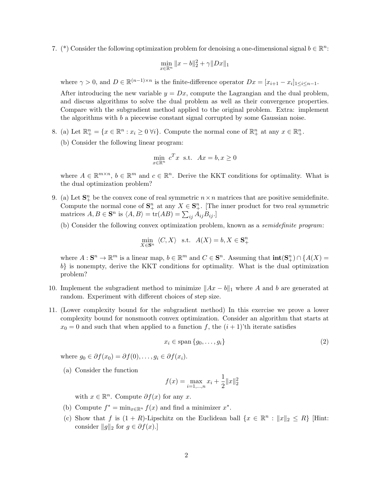7. (\*) Consider the following optimization problem for denoising a one-dimensional signal  $b \in \mathbb{R}^n$ :

$$
\min_{x \in \mathbb{R}^n} \|x - b\|_2^2 + \gamma \|Dx\|_1
$$

where  $\gamma > 0$ , and  $D \in \mathbb{R}^{(n-1)\times n}$  is the finite-difference operator  $Dx = [x_{i+1} - x_i]_{1 \le i \le n-1}$ .

After introducing the new variable  $y = Dx$ , compute the Lagrangian and the dual problem, and discuss algorithms to solve the dual problem as well as their convergence properties. Compare with the subgradient method applied to the original problem. Extra: implement the algorithms with  $b$  a piecewise constant signal corrupted by some Gaussian noise.

- 8. (a) Let  $\mathbb{R}^n_+ = \{x \in \mathbb{R}^n : x_i \geq 0 \,\forall i\}.$  Compute the normal cone of  $\mathbb{R}^n_+$  at any  $x \in \mathbb{R}^n_+$ .
	- (b) Consider the following linear program:

$$
\min_{x \in \mathbb{R}^n} c^T x \text{ s.t. } Ax = b, x \ge 0
$$

where  $A \in \mathbb{R}^{m \times n}$ ,  $b \in \mathbb{R}^m$  and  $c \in \mathbb{R}^n$ . Derive the KKT conditions for optimality. What is the dual optimization problem?

- 9. (a) Let  $\mathbf{S}_{+}^{n}$  be the convex cone of real symmetric  $n \times n$  matrices that are positive semidefinite. Compute the normal cone of  $S^n_+$  at any  $X \in S^n_+$ . [The inner product for two real symmetric matrices  $A, B \in \mathbf{S}^n$  is  $\langle A, B \rangle = \text{tr}(AB) = \sum_{ij} A_{ij} B_{ij}$ .
	- (b) Consider the following convex optimization problem, known as a semidefinite program:

$$
\min_{X \in \mathbf{S}^n} \langle C, X \rangle \quad \text{s.t.} \quad A(X) = b, X \in \mathbf{S}^n_+
$$

where  $A: \mathbf{S}^n \to \mathbb{R}^m$  is a linear map,  $b \in \mathbb{R}^m$  and  $C \in \mathbf{S}^n$ . Assuming that  $\text{int}(\mathbf{S}^n_+) \cap \{A(X) =$ b} is nonempty, derive the KKT conditions for optimality. What is the dual optimization problem?

- 10. Implement the subgradient method to minimize  $||Ax b||_1$  where A and b are generated at random. Experiment with different choices of step size.
- 11. (Lower complexity bound for the subgradient method) In this exercise we prove a lower complexity bound for nonsmooth convex optimization. Consider an algorithm that starts at  $x_0 = 0$  and such that when applied to a function f, the  $(i + 1)$ 'th iterate satisfies

<span id="page-1-0"></span>
$$
x_i \in \text{span}\{g_0, \dots, g_i\} \tag{2}
$$

where  $q_0 \in \partial f(x_0) = \partial f(0), \ldots, q_i \in \partial f(x_i)$ .

(a) Consider the function

$$
f(x) = \max_{i=1,\dots,n} x_i + \frac{1}{2} ||x||_2^2
$$

with  $x \in \mathbb{R}^n$ . Compute  $\partial f(x)$  for any x.

- (b) Compute  $f^* = \min_{x \in \mathbb{R}^n} f(x)$  and find a minimizer  $x^*$ .
- (c) Show that f is  $(1 + R)$ -Lipschitz on the Euclidean ball  $\{x \in \mathbb{R}^n : ||x||_2 \le R\}$  [Hint: consider  $||g||_2$  for  $g \in \partial f(x)$ .]